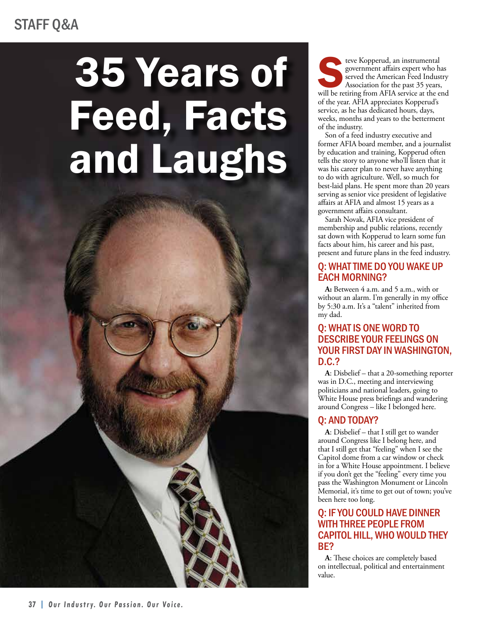### STAFF Q&A

# 35 Years of Feed, Facts and Laughs

**37 | Our Industry. Our Passion. Our Voice.**

Electro Kopperud, an instrumental government affairs expert who has served the American Feed Industry Association for the past 35 years, will be retiring from AFIA service at the end government affairs expert who has served the American Feed Industry Association for the past 35 years, of the year. AFIA appreciates Kopperud's service, as he has dedicated hours, days, weeks, months and years to the betterment of the industry.

Son of a feed industry executive and former AFIA board member, and a journalist by education and training, Kopperud often tells the story to anyone who'll listen that it was his career plan to never have anything to do with agriculture. Well, so much for best-laid plans. He spent more than 20 years serving as senior vice president of legislative affairs at AFIA and almost 15 years as a government affairs consultant.

Sarah Novak, AFIA vice president of membership and public relations, recently sat down with Kopperud to learn some fun facts about him, his career and his past, present and future plans in the feed industry.

#### Q: WHAT TIME DO YOU WAKE UP EACH MORNING?

**A:** Between 4 a.m. and 5 a.m., with or without an alarm. I'm generally in my office by 5:30 a.m. It's a "talent" inherited from my dad.

#### Q: WHAT IS ONE WORD TO DESCRIBE YOUR FEELINGS ON YOUR FIRST DAY IN WASHINGTON, D.C.?

**A**: Disbelief – that a 20-something reporter was in D.C., meeting and interviewing politicians and national leaders, going to White House press briefings and wandering around Congress – like I belonged here.

#### Q: AND TODAY?

**A**: Disbelief – that I still get to wander around Congress like I belong here, and that I still get that "feeling" when I see the Capitol dome from a car window or check in for a White House appointment. I believe if you don't get the "feeling" every time you pass the Washington Monument or Lincoln Memorial, it's time to get out of town; you've been here too long.

#### Q: IF YOU COULD HAVE DINNER WITH THREE PEOPLE FROM CAPITOL HILL, WHO WOULD THEY BE?

**A**: These choices are completely based on intellectual, political and entertainment value.